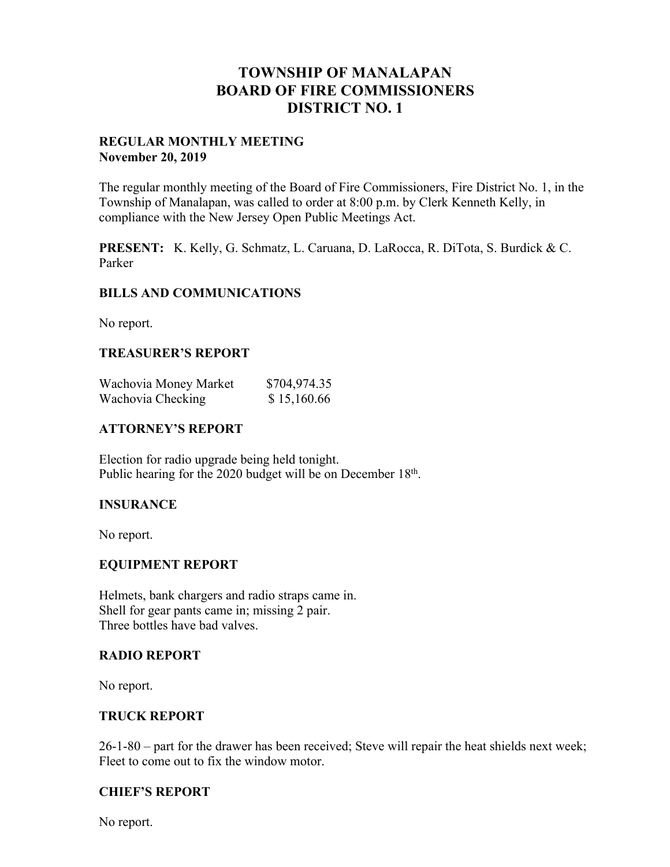## **TOWNSHIP OF MANALAPAN BOARD OF FIRE COMMISSIONERS DISTRICT NO. 1**

#### **REGULAR MONTHLY MEETING November 20, 2019**

The regular monthly meeting of the Board of Fire Commissioners, Fire District No. 1, in the Township of Manalapan, was called to order at 8:00 p.m. by Clerk Kenneth Kelly, in compliance with the New Jersey Open Public Meetings Act.

**PRESENT:** K. Kelly, G. Schmatz, L. Caruana, D. LaRocca, R. DiTota, S. Burdick & C. Parker

#### **BILLS AND COMMUNICATIONS**

No report.

#### **TREASURER'S REPORT**

| Wachovia Money Market | \$704,974.35 |
|-----------------------|--------------|
| Wachovia Checking     | \$15,160.66  |

#### **ATTORNEY'S REPORT**

Election for radio upgrade being held tonight. Public hearing for the 2020 budget will be on December 18<sup>th</sup>.

#### **INSURANCE**

No report.

#### **EQUIPMENT REPORT**

Helmets, bank chargers and radio straps came in. Shell for gear pants came in; missing 2 pair. Three bottles have bad valves.

#### **RADIO REPORT**

No report.

#### **TRUCK REPORT**

26-1-80 – part for the drawer has been received; Steve will repair the heat shields next week; Fleet to come out to fix the window motor.

## **CHIEF'S REPORT**

No report.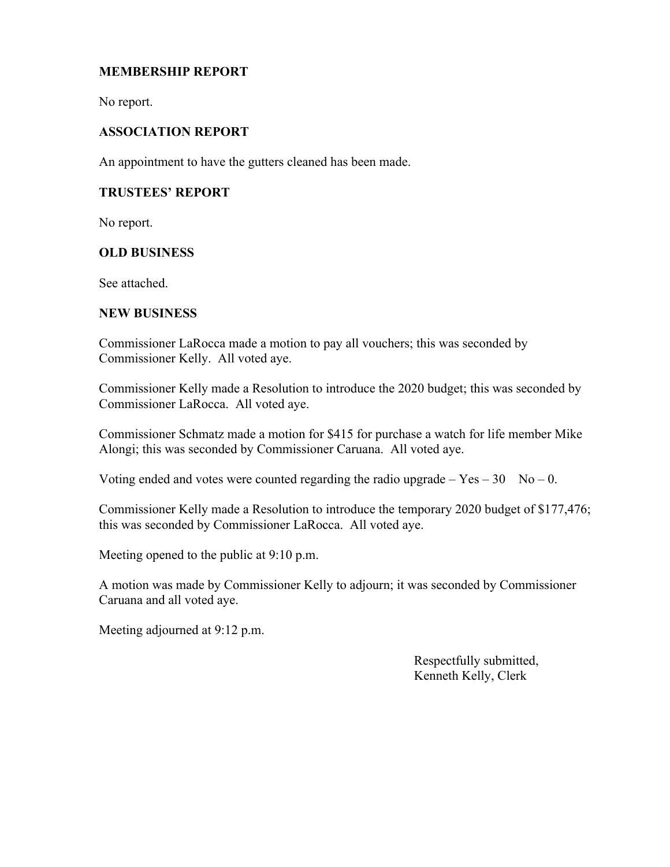## **MEMBERSHIP REPORT**

No report.

## **ASSOCIATION REPORT**

An appointment to have the gutters cleaned has been made.

## **TRUSTEES' REPORT**

No report.

#### **OLD BUSINESS**

See attached.

#### **NEW BUSINESS**

Commissioner LaRocca made a motion to pay all vouchers; this was seconded by Commissioner Kelly. All voted aye.

Commissioner Kelly made a Resolution to introduce the 2020 budget; this was seconded by Commissioner LaRocca. All voted aye.

Commissioner Schmatz made a motion for \$415 for purchase a watch for life member Mike Alongi; this was seconded by Commissioner Caruana. All voted aye.

Voting ended and votes were counted regarding the radio upgrade  $-$  Yes  $-$  30 No  $-$  0.

Commissioner Kelly made a Resolution to introduce the temporary 2020 budget of \$177,476; this was seconded by Commissioner LaRocca. All voted aye.

Meeting opened to the public at 9:10 p.m.

A motion was made by Commissioner Kelly to adjourn; it was seconded by Commissioner Caruana and all voted aye.

Meeting adjourned at 9:12 p.m.

 Respectfully submitted, Kenneth Kelly, Clerk